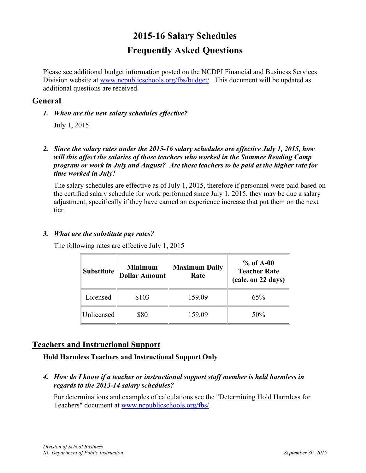# **2015-16 Salary Schedules Frequently Asked Questions**

Please see additional budget information posted on the NCDPI Financial and Business Services Division website at [www.ncpublicschools.org/fbs/budget/](http://www.ncpublicschools.org/fbs/budget/). This document will be updated as additional questions are received.

# **General**

*1. When are the new salary schedules effective?*

July 1, 2015.

*2. Since the salary rates under the 2015-16 salary schedules are effective July 1, 2015, how will this affect the salaries of those teachers who worked in the Summer Reading Camp program or work in July and August? Are these teachers to be paid at the higher rate for time worked in July*?

The salary schedules are effective as of July 1, 2015, therefore if personnel were paid based on the certified salary schedule for work performed since July 1, 2015, they may be due a salary adjustment, specifically if they have earned an experience increase that put them on the next tier.

# *3. What are the substitute pay rates?*

The following rates are effective July 1, 2015

| Substitute | <b>Minimum</b><br><b>Dollar Amount</b> | <b>Maximum Daily</b><br>Rate | $%$ of A-00<br><b>Teacher Rate</b><br>(calc. on 22 days) |
|------------|----------------------------------------|------------------------------|----------------------------------------------------------|
| Licensed   | \$103                                  | 159.09                       | 65%                                                      |
| Unlicensed | \$80                                   | 159.09                       | 50%                                                      |

# **Teachers and Instructional Support**

**Hold Harmless Teachers and Instructional Support Only**

*4. How do I know if a teacher or instructional support staff member is held harmless in regards to the 2013-14 salary schedules?*

For determinations and examples of calculations see the "Determining Hold Harmless for Teachers" document at [www.ncpublicschools.org/fbs/.](http://www.ncpublicschools.org/fbs/)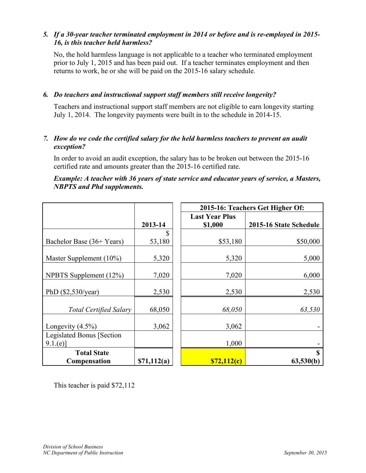# *5. If a 30-year teacher terminated employment in 2014 or before and is re-employed in 2015- 16, is this teacher held harmless?*

No, the hold harmless language is not applicable to a teacher who terminated employment prior to July 1, 2015 and has been paid out. If a teacher terminates employment and then returns to work, he or she will be paid on the 2015-16 salary schedule.

### *6. Do teachers and instructional support staff members still receive longevity?*

Teachers and instructional support staff members are not eligible to earn longevity starting July 1, 2014. The longevity payments were built in to the schedule in 2014-15.

### *7. How do we code the certified salary for the held harmless teachers to prevent an audit exception?*

In order to avoid an audit exception, the salary has to be broken out between the 2015-16 certified rate and amounts greater than the 2015-16 certified rate.

#### *Example: A teacher with 36 years of state service and educator years of service, a Masters, NBPTS and Phd supplements.*

|                               |             |  | 2015-16: Teachers Get Higher Of: |                        |  |
|-------------------------------|-------------|--|----------------------------------|------------------------|--|
|                               |             |  | <b>Last Year Plus</b>            |                        |  |
|                               | 2013-14     |  | \$1,000                          | 2015-16 State Schedule |  |
|                               | \$          |  |                                  |                        |  |
| Bachelor Base (36+ Years)     | 53,180      |  | \$53,180                         | \$50,000               |  |
|                               |             |  |                                  |                        |  |
| Master Supplement $(10\%)$    | 5,320       |  | 5,320                            | 5,000                  |  |
|                               |             |  |                                  |                        |  |
| NPBTS Supplement (12%)        | 7,020       |  | 7,020                            | 6,000                  |  |
|                               |             |  |                                  |                        |  |
| PhD $(\$2,530/year)$          | 2,530       |  | 2,530                            | 2,530                  |  |
|                               |             |  |                                  |                        |  |
| <b>Total Certified Salary</b> | 68,050      |  | 68,050                           | 63,530                 |  |
|                               |             |  |                                  |                        |  |
| Longevity $(4.5\%)$           | 3,062       |  | 3,062                            |                        |  |
| Legislated Bonus [Section]    |             |  |                                  |                        |  |
| 9.1.(e)                       |             |  | 1,000                            |                        |  |
| <b>Total State</b>            |             |  |                                  | \$                     |  |
|                               |             |  |                                  |                        |  |
| <b>Compensation</b>           | \$71,112(a) |  | \$72,112(c)                      | 63,530(b)              |  |

This teacher is paid \$72,112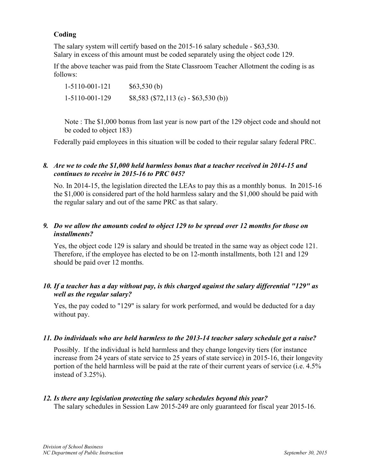# **Coding**

The salary system will certify based on the 2015-16 salary schedule - \$63,530. Salary in excess of this amount must be coded separately using the object code 129.

If the above teacher was paid from the State Classroom Teacher Allotment the coding is as follows:

1-5110-001-121 \$63,530 (b) 1-5110-001-129 \$8,583 (\$72,113 (c) - \$63,530 (b))

Note : The \$1,000 bonus from last year is now part of the 129 object code and should not be coded to object 183)

Federally paid employees in this situation will be coded to their regular salary federal PRC.

### *8. Are we to code the \$1,000 held harmless bonus that a teacher received in 2014-15 and continues to receive in 2015-16 to PRC 045?*

No. In 2014-15, the legislation directed the LEAs to pay this as a monthly bonus. In 2015-16 the \$1,000 is considered part of the hold harmless salary and the \$1,000 should be paid with the regular salary and out of the same PRC as that salary.

# *9. Do we allow the amounts coded to object 129 to be spread over 12 months for those on installments?*

Yes, the object code 129 is salary and should be treated in the same way as object code 121. Therefore, if the employee has elected to be on 12-month installments, both 121 and 129 should be paid over 12 months.

# *10. If a teacher has a day without pay, is this charged against the salary differential "129" as well as the regular salary?*

Yes, the pay coded to "129" is salary for work performed, and would be deducted for a day without pay.

#### *11. Do individuals who are held harmless to the 2013-14 teacher salary schedule get a raise?*

Possibly. If the individual is held harmless and they change longevity tiers (for instance increase from 24 years of state service to 25 years of state service) in 2015-16, their longevity portion of the held harmless will be paid at the rate of their current years of service (i.e. 4.5% instead of 3.25%).

#### *12. Is there any legislation protecting the salary schedules beyond this year?*

The salary schedules in Session Law 2015-249 are only guaranteed for fiscal year 2015-16.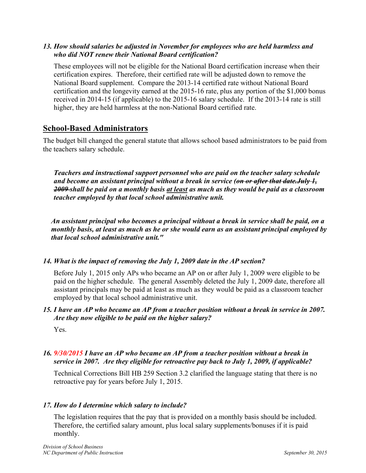# *13. How should salaries be adjusted in November for employees who are held harmless and who did NOT renew their National Board certification?*

These employees will not be eligible for the National Board certification increase when their certification expires. Therefore, their certified rate will be adjusted down to remove the National Board supplement. Compare the 2013-14 certified rate without National Board certification and the longevity earned at the 2015-16 rate, plus any portion of the \$1,000 bonus received in 2014-15 (if applicable) to the 2015-16 salary schedule. If the 2013-14 rate is still higher, they are held harmless at the non-National Board certified rate.

# **School-Based Administrators**

The budget bill changed the general statute that allows school based administrators to be paid from the teachers salary schedule.

*Teachers and instructional support personnel who are paid on the teacher salary schedule and become an assistant principal without a break in service (on or after that date.July 1, 2009 shall be paid on a monthly basis at least as much as they would be paid as a classroom teacher employed by that local school administrative unit.* 

*An assistant principal who becomes a principal without a break in service shall be paid, on a monthly basis, at least as much as he or she would earn as an assistant principal employed by that local school administrative unit."*

# *14. What is the impact of removing the July 1, 2009 date in the AP section?*

Before July 1, 2015 only APs who became an AP on or after July 1, 2009 were eligible to be paid on the higher schedule. The general Assembly deleted the July 1, 2009 date, therefore all assistant principals may be paid at least as much as they would be paid as a classroom teacher employed by that local school administrative unit.

# *15. I have an AP who became an AP from a teacher position without a break in service in 2007. Are they now eligible to be paid on the higher salary?*

Yes.

# *16. 9/30/2015 I have an AP who became an AP from a teacher position without a break in service in 2007. Are they eligible for retroactive pay back to July 1, 2009, if applicable?*

Technical Corrections Bill HB 259 Section 3.2 clarified the language stating that there is no retroactive pay for years before July 1, 2015.

# *17. How do I determine which salary to include?*

The legislation requires that the pay that is provided on a monthly basis should be included. Therefore, the certified salary amount, plus local salary supplements/bonuses if it is paid monthly.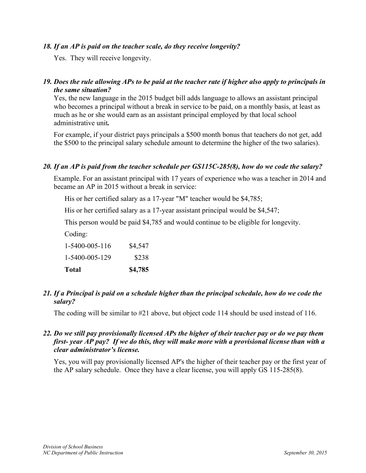#### *18. If an AP is paid on the teacher scale, do they receive longevity?*

Yes. They will receive longevity.

### *19. Does the rule allowing APs to be paid at the teacher rate if higher also apply to principals in the same situation?*

Yes, the new language in the 2015 budget bill adds language to allows an assistant principal who becomes a principal without a break in service to be paid, on a monthly basis, at least as much as he or she would earn as an assistant principal employed by that local school administrative unit*.*

For example, if your district pays principals a \$500 month bonus that teachers do not get, add the \$500 to the principal salary schedule amount to determine the higher of the two salaries).

#### *20. If an AP is paid from the teacher schedule per GS115C-285(8), how do we code the salary?*

Example. For an assistant principal with 17 years of experience who was a teacher in 2014 and became an AP in 2015 without a break in service:

His or her certified salary as a 17-year "M" teacher would be \$4,785;

His or her certified salary as a 17-year assistant principal would be \$4,547;

This person would be paid \$4,785 and would continue to be eligible for longevity.

Coding:

1-5400-005-116 \$4,547 1-5400-005-129 \$238 **Total \$4,785**

# *21. If a Principal is paid on a schedule higher than the principal schedule, how do we code the salary?*

The coding will be similar to #21 above, but object code 114 should be used instead of 116.

### *22. Do we still pay provisionally licensed APs the higher of their teacher pay or do we pay them first- year AP pay? If we do this, they will make more with a provisional license than with a clear administrator's license.*

Yes, you will pay provisionally licensed AP's the higher of their teacher pay or the first year of the AP salary schedule. Once they have a clear license, you will apply GS 115-285(8).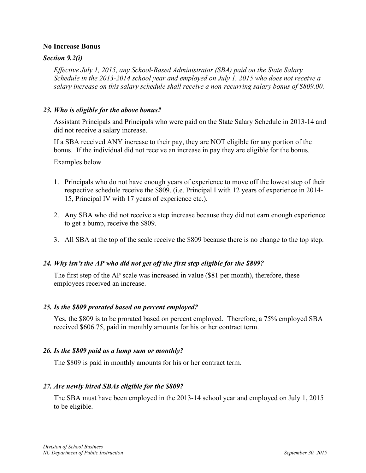#### **No Increase Bonus**

#### *Section 9.2(i)*

*Effective July 1, 2015, any School-Based Administrator (SBA) paid on the State Salary Schedule in the 2013-2014 school year and employed on July 1, 2015 who does not receive a salary increase on this salary schedule shall receive a non-recurring salary bonus of \$809.00.*

#### *23. Who is eligible for the above bonus?*

Assistant Principals and Principals who were paid on the State Salary Schedule in 2013-14 and did not receive a salary increase.

If a SBA received ANY increase to their pay, they are NOT eligible for any portion of the bonus. If the individual did not receive an increase in pay they are eligible for the bonus.

Examples below

- 1. Principals who do not have enough years of experience to move off the lowest step of their respective schedule receive the \$809. (i.e. Principal I with 12 years of experience in 2014- 15, Principal IV with 17 years of experience etc.).
- 2. Any SBA who did not receive a step increase because they did not earn enough experience to get a bump, receive the \$809.
- 3. All SBA at the top of the scale receive the \$809 because there is no change to the top step.

#### *24. Why isn't the AP who did not get off the first step eligible for the \$809?*

The first step of the AP scale was increased in value (\$81 per month), therefore, these employees received an increase.

#### *25. Is the \$809 prorated based on percent employed?*

Yes, the \$809 is to be prorated based on percent employed. Therefore, a 75% employed SBA received \$606.75, paid in monthly amounts for his or her contract term.

#### *26. Is the \$809 paid as a lump sum or monthly?*

The \$809 is paid in monthly amounts for his or her contract term.

#### *27. Are newly hired SBAs eligible for the \$809?*

The SBA must have been employed in the 2013-14 school year and employed on July 1, 2015 to be eligible.